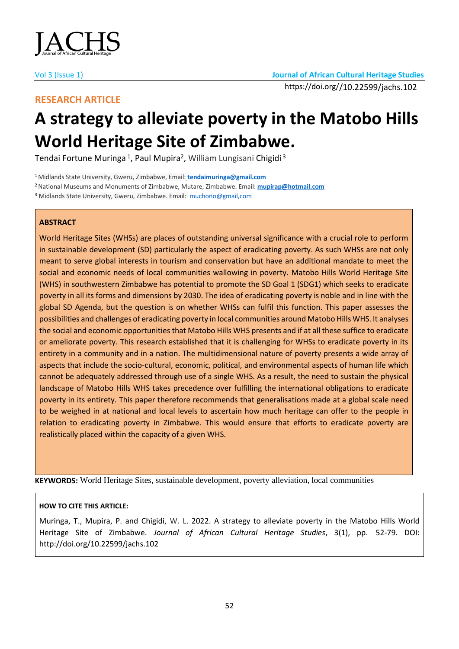

## **RESEARCH ARTICLE**

# **A strategy to alleviate poverty in the Matobo Hills World Heritage Site of Zimbabwe.**

Tendai Fortune Muringa <sup>1</sup>, Paul Mupira<sup>2</sup>, William Lungisani Chigidi <sup>3</sup>

<sup>1</sup>Midlands State University, Gweru, Zimbabwe, Email: **tendaimuringa@gmail.com**

<sup>2</sup>National Museums and Monuments of Zimbabwe, Mutare, Zimbabwe. Email: **[mupirap@hotmail.com](mailto:mupirap@hotmail.com)**

<sup>3</sup> Midlands State University, Gweru, Zimbabwe. Email: muchono@gmail,com

## **ABSTRACT**

World Heritage Sites (WHSs) are places of outstanding universal significance with a crucial role to perform in sustainable development (SD) particularly the aspect of eradicating poverty. As such WHSs are not only meant to serve global interests in tourism and conservation but have an additional mandate to meet the social and economic needs of local communities wallowing in poverty. Matobo Hills World Heritage Site (WHS) in southwestern Zimbabwe has potential to promote the SD Goal 1 (SDG1) which seeks to eradicate poverty in all its forms and dimensions by 2030. The idea of eradicating poverty is noble and in line with the global SD Agenda, but the question is on whether WHSs can fulfil this function. This paper assesses the possibilities and challenges of eradicating poverty in local communities around Matobo Hills WHS. It analyses the social and economic opportunities that Matobo Hills WHS presents and if at all these suffice to eradicate or ameliorate poverty. This research established that it is challenging for WHSs to eradicate poverty in its entirety in a community and in a nation. The multidimensional nature of poverty presents a wide array of aspects that include the socio-cultural, economic, political, and environmental aspects of human life which cannot be adequately addressed through use of a single WHS. As a result, the need to sustain the physical landscape of Matobo Hills WHS takes precedence over fulfilling the international obligations to eradicate poverty in its entirety. This paper therefore recommends that generalisations made at a global scale need to be weighed in at national and local levels to ascertain how much heritage can offer to the people in relation to eradicating poverty in Zimbabwe. This would ensure that efforts to eradicate poverty are realistically placed within the capacity of a given WHS.

**KEYWORDS:** World Heritage Sites, sustainable development, poverty alleviation, local communities

## **HOW TO CITE THIS ARTICLE:**

Muringa, T., Mupira, P. and Chigidi, W. L. 2022. A strategy to alleviate poverty in the Matobo Hills World Heritage Site of Zimbabwe. *Journal of African Cultural Heritage Studies*, 3(1), pp. 52-79. DOI: http://doi.org/10.22599/jachs.102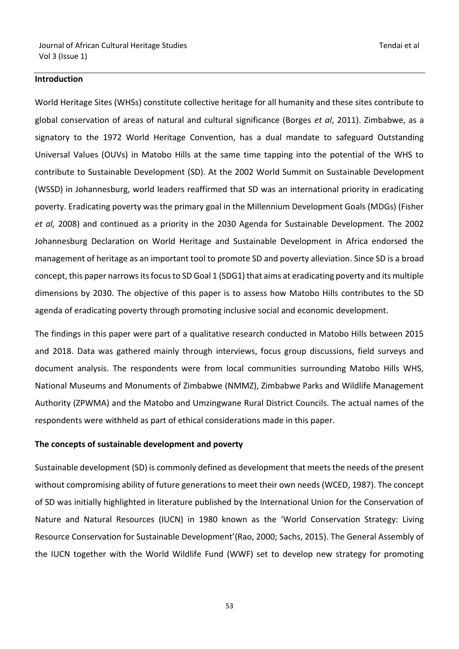#### **Introduction**

World Heritage Sites (WHSs) constitute collective heritage for all humanity and these sites contribute to global conservation of areas of natural and cultural significance (Borges *et al*, 2011). Zimbabwe, as a signatory to the 1972 World Heritage Convention, has a dual mandate to safeguard Outstanding Universal Values (OUVs) in Matobo Hills at the same time tapping into the potential of the WHS to contribute to Sustainable Development (SD). At the 2002 World Summit on Sustainable Development (WSSD) in Johannesburg, world leaders reaffirmed that SD was an international priority in eradicating poverty. Eradicating poverty was the primary goal in the Millennium Development Goals (MDGs) (Fisher *et al,* 2008) and continued as a priority in the 2030 Agenda for Sustainable Development. The 2002 Johannesburg Declaration on World Heritage and Sustainable Development in Africa endorsed the management of heritage as an important tool to promote SD and poverty alleviation. Since SD is a broad concept, this paper narrows its focus to SD Goal 1 (SDG1) that aims at eradicating poverty and its multiple dimensions by 2030. The objective of this paper is to assess how Matobo Hills contributes to the SD agenda of eradicating poverty through promoting inclusive social and economic development.

The findings in this paper were part of a qualitative research conducted in Matobo Hills between 2015 and 2018. Data was gathered mainly through interviews, focus group discussions, field surveys and document analysis. The respondents were from local communities surrounding Matobo Hills WHS, National Museums and Monuments of Zimbabwe (NMMZ), Zimbabwe Parks and Wildlife Management Authority (ZPWMA) and the Matobo and Umzingwane Rural District Councils. The actual names of the respondents were withheld as part of ethical considerations made in this paper.

## **The concepts of sustainable development and poverty**

Sustainable development (SD) is commonly defined as development that meets the needs of the present without compromising ability of future generations to meet their own needs (WCED, 1987). The concept of SD was initially highlighted in literature published by the International Union for the Conservation of Nature and Natural Resources (IUCN) in 1980 known as the 'World Conservation Strategy: Living Resource Conservation for Sustainable Development'(Rao, 2000; Sachs, 2015). The General Assembly of the IUCN together with the World Wildlife Fund (WWF) set to develop new strategy for promoting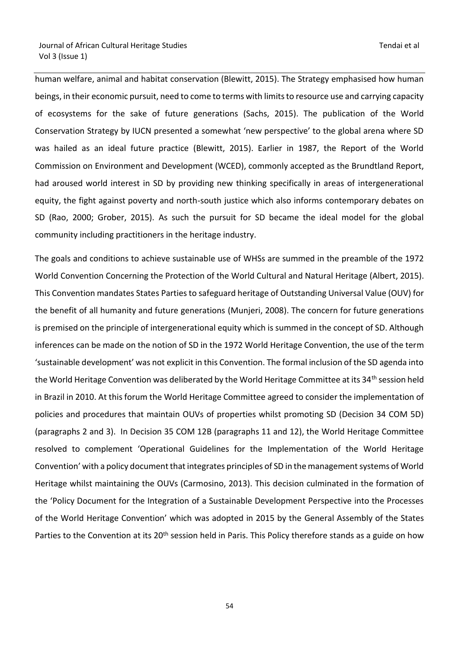human welfare, animal and habitat conservation (Blewitt, 2015). The Strategy emphasised how human beings, in their economic pursuit, need to come to terms with limits to resource use and carrying capacity of ecosystems for the sake of future generations (Sachs, 2015). The publication of the World Conservation Strategy by IUCN presented a somewhat 'new perspective' to the global arena where SD was hailed as an ideal future practice (Blewitt, 2015). Earlier in 1987, the Report of the World Commission on Environment and Development (WCED), commonly accepted as the Brundtland Report, had aroused world interest in SD by providing new thinking specifically in areas of intergenerational equity, the fight against poverty and north-south justice which also informs contemporary debates on SD (Rao, 2000; Grober, 2015). As such the pursuit for SD became the ideal model for the global community including practitioners in the heritage industry.

The goals and conditions to achieve sustainable use of WHSs are summed in the preamble of the 1972 World Convention Concerning the Protection of the World Cultural and Natural Heritage (Albert, 2015). This Convention mandates States Parties to safeguard heritage of Outstanding Universal Value (OUV) for the benefit of all humanity and future generations (Munjeri, 2008). The concern for future generations is premised on the principle of intergenerational equity which is summed in the concept of SD. Although inferences can be made on the notion of SD in the 1972 World Heritage Convention, the use of the term 'sustainable development' was not explicit in this Convention. The formal inclusion of the SD agenda into the World Heritage Convention was deliberated by the World Heritage Committee at its 34<sup>th</sup> session held in Brazil in 2010. At this forum the World Heritage Committee agreed to consider the implementation of policies and procedures that maintain OUVs of properties whilst promoting SD (Decision 34 COM 5D) (paragraphs 2 and 3). In Decision 35 COM 12B (paragraphs 11 and 12), the World Heritage Committee resolved to complement 'Operational Guidelines for the Implementation of the World Heritage Convention' with a policy document that integrates principles of SD in the management systems of World Heritage whilst maintaining the OUVs (Carmosino, 2013). This decision culminated in the formation of the 'Policy Document for the Integration of a Sustainable Development Perspective into the Processes of the World Heritage Convention' which was adopted in 2015 by the General Assembly of the States Parties to the Convention at its 20<sup>th</sup> session held in Paris. This Policy therefore stands as a guide on how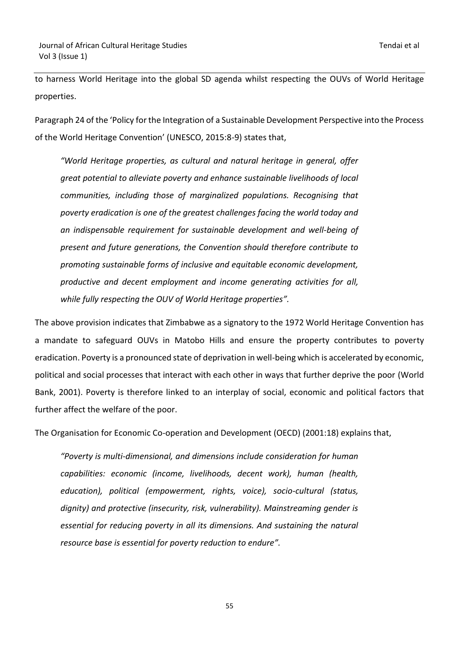to harness World Heritage into the global SD agenda whilst respecting the OUVs of World Heritage properties.

Paragraph 24 of the 'Policy for the Integration of a Sustainable Development Perspective into the Process of the World Heritage Convention' (UNESCO, 2015:8-9) states that,

*"World Heritage properties, as cultural and natural heritage in general, offer great potential to alleviate poverty and enhance sustainable livelihoods of local communities, including those of marginalized populations. Recognising that poverty eradication is one of the greatest challenges facing the world today and an indispensable requirement for sustainable development and well-being of present and future generations, the Convention should therefore contribute to promoting sustainable forms of inclusive and equitable economic development, productive and decent employment and income generating activities for all, while fully respecting the OUV of World Heritage properties".*

The above provision indicates that Zimbabwe as a signatory to the 1972 World Heritage Convention has a mandate to safeguard OUVs in Matobo Hills and ensure the property contributes to poverty eradication. Poverty is a pronounced state of deprivation in well-being which is accelerated by economic, political and social processes that interact with each other in ways that further deprive the poor (World Bank, 2001). Poverty is therefore linked to an interplay of social, economic and political factors that further affect the welfare of the poor.

The Organisation for Economic Co-operation and Development (OECD) (2001:18) explains that,

*"Poverty is multi-dimensional, and dimensions include consideration for human capabilities: economic (income, livelihoods, decent work), human (health, education), political (empowerment, rights, voice), socio-cultural (status, dignity) and protective (insecurity, risk, vulnerability). Mainstreaming gender is essential for reducing poverty in all its dimensions. And sustaining the natural resource base is essential for poverty reduction to endure".*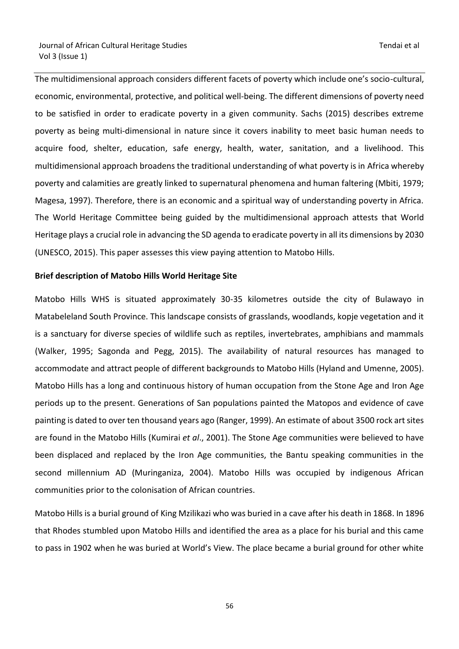The multidimensional approach considers different facets of poverty which include one's socio-cultural, economic, environmental, protective, and political well-being. The different dimensions of poverty need to be satisfied in order to eradicate poverty in a given community. Sachs (2015) describes extreme poverty as being multi-dimensional in nature since it covers inability to meet basic human needs to acquire food, shelter, education, safe energy, health, water, sanitation, and a livelihood. This multidimensional approach broadens the traditional understanding of what poverty is in Africa whereby poverty and calamities are greatly linked to supernatural phenomena and human faltering (Mbiti, 1979; Magesa, 1997). Therefore, there is an economic and a spiritual way of understanding poverty in Africa. The World Heritage Committee being guided by the multidimensional approach attests that World Heritage plays a crucial role in advancing the SD agenda to eradicate poverty in all its dimensions by 2030 (UNESCO, 2015). This paper assesses this view paying attention to Matobo Hills.

#### **Brief description of Matobo Hills World Heritage Site**

Matobo Hills WHS is situated approximately 30-35 kilometres outside the city of Bulawayo in Matabeleland South Province. This landscape consists of grasslands, woodlands, kopje vegetation and it is a sanctuary for diverse species of wildlife such as reptiles, invertebrates, amphibians and mammals (Walker, 1995; Sagonda and Pegg, 2015). The availability of natural resources has managed to accommodate and attract people of different backgrounds to Matobo Hills (Hyland and Umenne, 2005). Matobo Hills has a long and continuous history of human occupation from the Stone Age and Iron Age periods up to the present. Generations of San populations painted the Matopos and evidence of cave painting is dated to over ten thousand years ago (Ranger, 1999). An estimate of about 3500 rock art sites are found in the Matobo Hills (Kumirai *et al*., 2001). The Stone Age communities were believed to have been displaced and replaced by the Iron Age communities, the Bantu speaking communities in the second millennium AD (Muringaniza, 2004). Matobo Hills was occupied by indigenous African communities prior to the colonisation of African countries.

Matobo Hills is a burial ground of King Mzilikazi who was buried in a cave after his death in 1868. In 1896 that Rhodes stumbled upon Matobo Hills and identified the area as a place for his burial and this came to pass in 1902 when he was buried at World's View. The place became a burial ground for other white

the contract of the contract of the contract of the contract of the contract of the contract of the contract o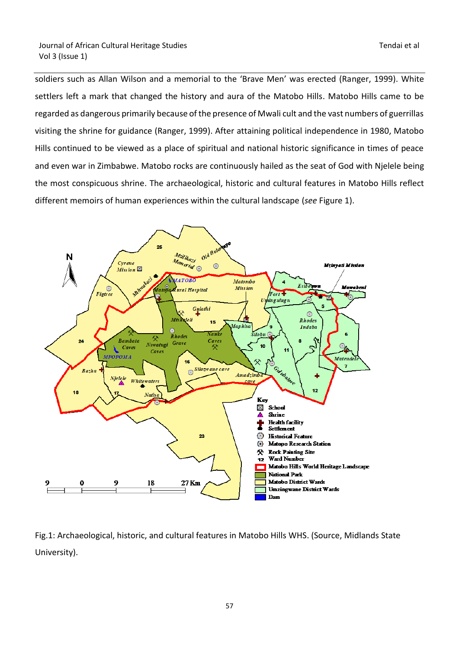soldiers such as Allan Wilson and a memorial to the 'Brave Men' was erected (Ranger, 1999). White settlers left a mark that changed the history and aura of the Matobo Hills. Matobo Hills came to be regarded as dangerous primarily because of the presence of Mwali cult and the vast numbers of guerrillas visiting the shrine for guidance (Ranger, 1999). After attaining political independence in 1980, Matobo Hills continued to be viewed as a place of spiritual and national historic significance in times of peace and even war in Zimbabwe. Matobo rocks are continuously hailed as the seat of God with Njelele being the most conspicuous shrine. The archaeological, historic and cultural features in Matobo Hills reflect different memoirs of human experiences within the cultural landscape (*see* Figure 1).



Fig.1: Archaeological, historic, and cultural features in Matobo Hills WHS. (Source, Midlands State University).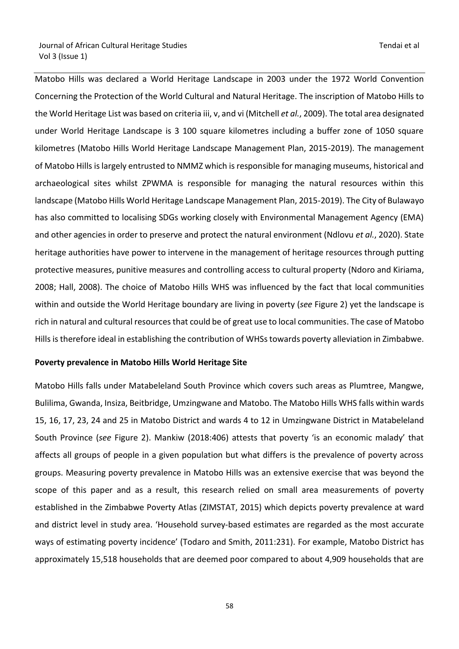Matobo Hills was declared a World Heritage Landscape in 2003 under the 1972 World Convention Concerning the Protection of the World Cultural and Natural Heritage. The inscription of Matobo Hills to the World Heritage List was based on criteria iii, v, and vi (Mitchell *et al.*, 2009). The total area designated under World Heritage Landscape is 3 100 square kilometres including a buffer zone of 1050 square kilometres (Matobo Hills World Heritage Landscape Management Plan, 2015-2019). The management of Matobo Hills is largely entrusted to NMMZ which is responsible for managing museums, historical and archaeological sites whilst ZPWMA is responsible for managing the natural resources within this landscape (Matobo Hills World Heritage Landscape Management Plan, 2015-2019). The City of Bulawayo has also committed to localising SDGs working closely with Environmental Management Agency (EMA) and other agencies in order to preserve and protect the natural environment (Ndlovu *et al.*, 2020). State heritage authorities have power to intervene in the management of heritage resources through putting protective measures, punitive measures and controlling access to cultural property (Ndoro and Kiriama, 2008; Hall, 2008). The choice of Matobo Hills WHS was influenced by the fact that local communities within and outside the World Heritage boundary are living in poverty (*see* Figure 2) yet the landscape is rich in natural and cultural resources that could be of great use to local communities. The case of Matobo Hills is therefore ideal in establishing the contribution of WHSstowards poverty alleviation in Zimbabwe.

#### **Poverty prevalence in Matobo Hills World Heritage Site**

Matobo Hills falls under Matabeleland South Province which covers such areas as Plumtree, Mangwe, Bulilima, Gwanda, Insiza, Beitbridge, Umzingwane and Matobo. The Matobo Hills WHS falls within wards 15, 16, 17, 23, 24 and 25 in Matobo District and wards 4 to 12 in Umzingwane District in Matabeleland South Province (*see* Figure 2). Mankiw (2018:406) attests that poverty 'is an economic malady' that affects all groups of people in a given population but what differs is the prevalence of poverty across groups. Measuring poverty prevalence in Matobo Hills was an extensive exercise that was beyond the scope of this paper and as a result, this research relied on small area measurements of poverty established in the Zimbabwe Poverty Atlas (ZIMSTAT, 2015) which depicts poverty prevalence at ward and district level in study area. 'Household survey-based estimates are regarded as the most accurate ways of estimating poverty incidence' (Todaro and Smith, 2011:231). For example, Matobo District has approximately 15,518 households that are deemed poor compared to about 4,909 households that are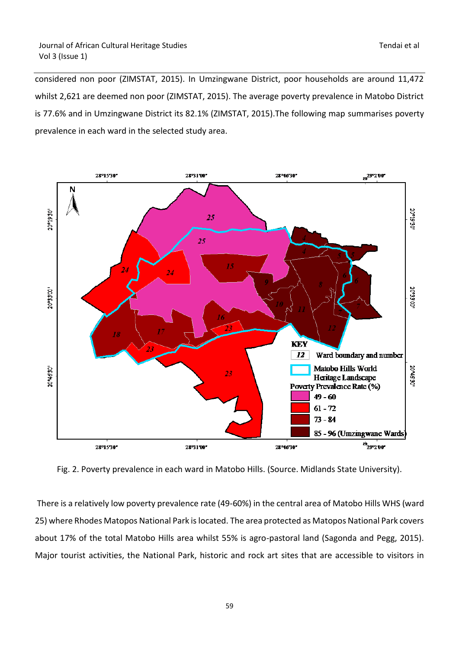considered non poor (ZIMSTAT, 2015). In Umzingwane District, poor households are around 11,472 whilst 2,621 are deemed non poor (ZIMSTAT, 2015). The average poverty prevalence in Matobo District is 77.6% and in Umzingwane District its 82.1% (ZIMSTAT, 2015).The following map summarises poverty prevalence in each ward in the selected study area.



Fig. 2. Poverty prevalence in each ward in Matobo Hills. (Source. Midlands State University).

There is a relatively low poverty prevalence rate (49-60%) in the central area of Matobo Hills WHS (ward 25) where Rhodes Matopos National Park is located. The area protected as Matopos National Park covers about 17% of the total Matobo Hills area whilst 55% is agro-pastoral land (Sagonda and Pegg, 2015). Major tourist activities, the National Park, historic and rock art sites that are accessible to visitors in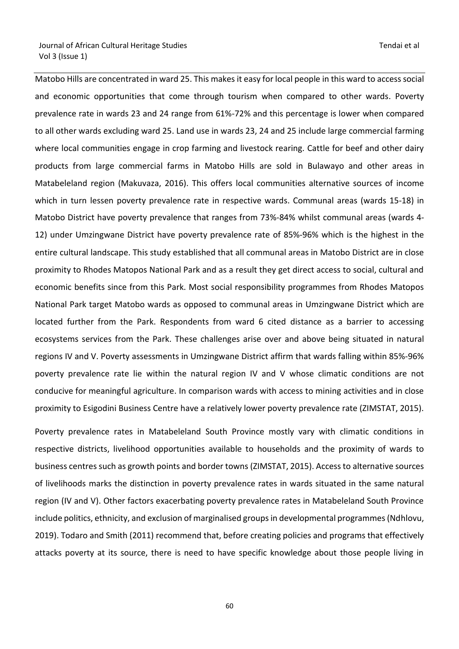Matobo Hills are concentrated in ward 25. This makes it easy for local people in this ward to access social and economic opportunities that come through tourism when compared to other wards. Poverty prevalence rate in wards 23 and 24 range from 61%-72% and this percentage is lower when compared to all other wards excluding ward 25. Land use in wards 23, 24 and 25 include large commercial farming where local communities engage in crop farming and livestock rearing. Cattle for beef and other dairy products from large commercial farms in Matobo Hills are sold in Bulawayo and other areas in Matabeleland region (Makuvaza, 2016). This offers local communities alternative sources of income which in turn lessen poverty prevalence rate in respective wards. Communal areas (wards 15-18) in Matobo District have poverty prevalence that ranges from 73%-84% whilst communal areas (wards 4- 12) under Umzingwane District have poverty prevalence rate of 85%-96% which is the highest in the entire cultural landscape. This study established that all communal areas in Matobo District are in close proximity to Rhodes Matopos National Park and as a result they get direct access to social, cultural and economic benefits since from this Park. Most social responsibility programmes from Rhodes Matopos National Park target Matobo wards as opposed to communal areas in Umzingwane District which are located further from the Park. Respondents from ward 6 cited distance as a barrier to accessing ecosystems services from the Park. These challenges arise over and above being situated in natural regions IV and V. Poverty assessments in Umzingwane District affirm that wards falling within 85%-96% poverty prevalence rate lie within the natural region IV and V whose climatic conditions are not conducive for meaningful agriculture. In comparison wards with access to mining activities and in close proximity to Esigodini Business Centre have a relatively lower poverty prevalence rate (ZIMSTAT, 2015).

Poverty prevalence rates in Matabeleland South Province mostly vary with climatic conditions in respective districts, livelihood opportunities available to households and the proximity of wards to business centres such as growth points and border towns (ZIMSTAT, 2015). Access to alternative sources of livelihoods marks the distinction in poverty prevalence rates in wards situated in the same natural region (IV and V). Other factors exacerbating poverty prevalence rates in Matabeleland South Province include politics, ethnicity, and exclusion of marginalised groups in developmental programmes (Ndhlovu, 2019). Todaro and Smith (2011) recommend that, before creating policies and programs that effectively attacks poverty at its source, there is need to have specific knowledge about those people living in

en de la construction de la construction de la construction de la construction de la construction de la constr<br>1960 : la construction de la construction de la construction de la construction de la construction de la const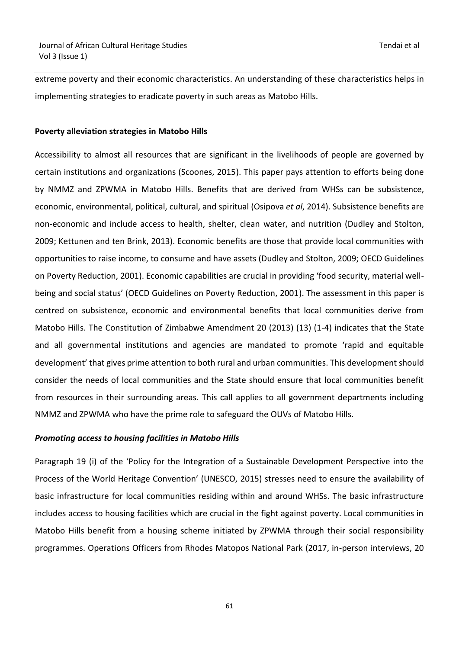extreme poverty and their economic characteristics. An understanding of these characteristics helps in implementing strategies to eradicate poverty in such areas as Matobo Hills.

### **Poverty alleviation strategies in Matobo Hills**

Accessibility to almost all resources that are significant in the livelihoods of people are governed by certain institutions and organizations (Scoones, 2015). This paper pays attention to efforts being done by NMMZ and ZPWMA in Matobo Hills. Benefits that are derived from WHSs can be subsistence, economic, environmental, political, cultural, and spiritual (Osipova *et al*, 2014). Subsistence benefits are non-economic and include access to health, shelter, clean water, and nutrition (Dudley and Stolton, 2009; Kettunen and ten Brink, 2013). Economic benefits are those that provide local communities with opportunities to raise income, to consume and have assets (Dudley and Stolton, 2009; OECD Guidelines on Poverty Reduction, 2001). Economic capabilities are crucial in providing 'food security, material wellbeing and social status' (OECD Guidelines on Poverty Reduction, 2001). The assessment in this paper is centred on subsistence, economic and environmental benefits that local communities derive from Matobo Hills. The Constitution of Zimbabwe Amendment 20 (2013) (13) (1-4) indicates that the State and all governmental institutions and agencies are mandated to promote 'rapid and equitable development' that gives prime attention to both rural and urban communities. This development should consider the needs of local communities and the State should ensure that local communities benefit from resources in their surrounding areas. This call applies to all government departments including NMMZ and ZPWMA who have the prime role to safeguard the OUVs of Matobo Hills.

## *Promoting access to housing facilities in Matobo Hills*

Paragraph 19 (i) of the 'Policy for the Integration of a Sustainable Development Perspective into the Process of the World Heritage Convention' (UNESCO, 2015) stresses need to ensure the availability of basic infrastructure for local communities residing within and around WHSs. The basic infrastructure includes access to housing facilities which are crucial in the fight against poverty. Local communities in Matobo Hills benefit from a housing scheme initiated by ZPWMA through their social responsibility programmes. Operations Officers from Rhodes Matopos National Park (2017, in-person interviews, 20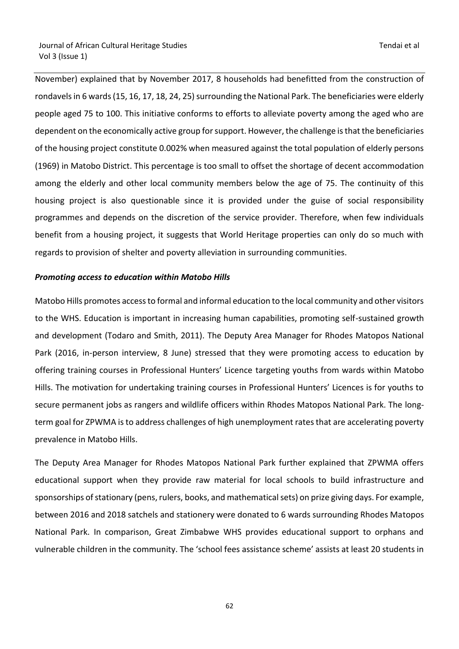November) explained that by November 2017, 8 households had benefitted from the construction of rondavels in 6 wards (15, 16, 17, 18, 24, 25) surrounding the National Park. The beneficiaries were elderly people aged 75 to 100. This initiative conforms to efforts to alleviate poverty among the aged who are dependent on the economically active group for support. However, the challenge is that the beneficiaries of the housing project constitute 0.002% when measured against the total population of elderly persons (1969) in Matobo District. This percentage is too small to offset the shortage of decent accommodation among the elderly and other local community members below the age of 75. The continuity of this housing project is also questionable since it is provided under the guise of social responsibility programmes and depends on the discretion of the service provider. Therefore, when few individuals benefit from a housing project, it suggests that World Heritage properties can only do so much with regards to provision of shelter and poverty alleviation in surrounding communities.

## *Promoting access to education within Matobo Hills*

Matobo Hills promotes access to formal and informal education to the local community and other visitors to the WHS. Education is important in increasing human capabilities, promoting self-sustained growth and development (Todaro and Smith, 2011). The Deputy Area Manager for Rhodes Matopos National Park (2016, in-person interview, 8 June) stressed that they were promoting access to education by offering training courses in Professional Hunters' Licence targeting youths from wards within Matobo Hills. The motivation for undertaking training courses in Professional Hunters' Licences is for youths to secure permanent jobs as rangers and wildlife officers within Rhodes Matopos National Park. The longterm goal for ZPWMA is to address challenges of high unemployment rates that are accelerating poverty prevalence in Matobo Hills.

The Deputy Area Manager for Rhodes Matopos National Park further explained that ZPWMA offers educational support when they provide raw material for local schools to build infrastructure and sponsorships of stationary (pens, rulers, books, and mathematical sets) on prize giving days. For example, between 2016 and 2018 satchels and stationery were donated to 6 wards surrounding Rhodes Matopos National Park. In comparison, Great Zimbabwe WHS provides educational support to orphans and vulnerable children in the community. The 'school fees assistance scheme' assists at least 20 students in

 $\sim$  62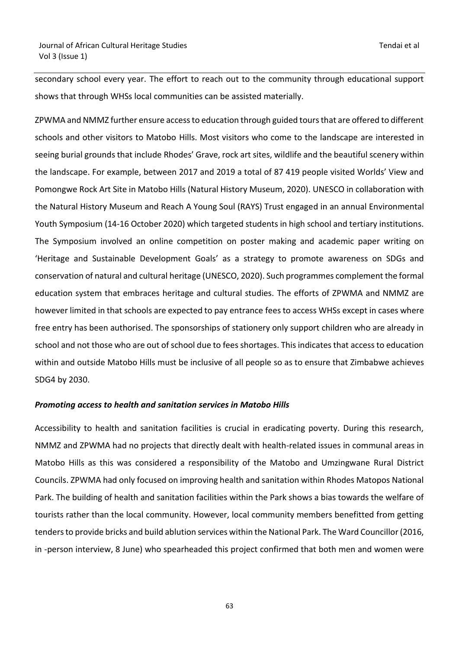secondary school every year. The effort to reach out to the community through educational support shows that through WHSs local communities can be assisted materially.

ZPWMA and NMMZ further ensure access to education through guided tours that are offered to different schools and other visitors to Matobo Hills. Most visitors who come to the landscape are interested in seeing burial grounds that include Rhodes' Grave, rock art sites, wildlife and the beautiful scenery within the landscape. For example, between 2017 and 2019 a total of 87 419 people visited Worlds' View and Pomongwe Rock Art Site in Matobo Hills (Natural History Museum, 2020). UNESCO in collaboration with the Natural History Museum and Reach A Young Soul (RAYS) Trust engaged in an annual Environmental Youth Symposium (14-16 October 2020) which targeted students in high school and tertiary institutions. The Symposium involved an online competition on poster making and academic paper writing on 'Heritage and Sustainable Development Goals' as a strategy to promote awareness on SDGs and conservation of natural and cultural heritage (UNESCO, 2020). Such programmes complement the formal education system that embraces heritage and cultural studies. The efforts of ZPWMA and NMMZ are however limited in that schools are expected to pay entrance fees to access WHSs except in cases where free entry has been authorised. The sponsorships of stationery only support children who are already in school and not those who are out of school due to fees shortages. This indicates that access to education within and outside Matobo Hills must be inclusive of all people so as to ensure that Zimbabwe achieves SDG4 by 2030.

## *Promoting access to health and sanitation services in Matobo Hills*

Accessibility to health and sanitation facilities is crucial in eradicating poverty. During this research, NMMZ and ZPWMA had no projects that directly dealt with health-related issues in communal areas in Matobo Hills as this was considered a responsibility of the Matobo and Umzingwane Rural District Councils. ZPWMA had only focused on improving health and sanitation within Rhodes Matopos National Park. The building of health and sanitation facilities within the Park shows a bias towards the welfare of tourists rather than the local community. However, local community members benefitted from getting tenders to provide bricks and build ablution services within the National Park. The Ward Councillor (2016, in -person interview, 8 June) who spearheaded this project confirmed that both men and women were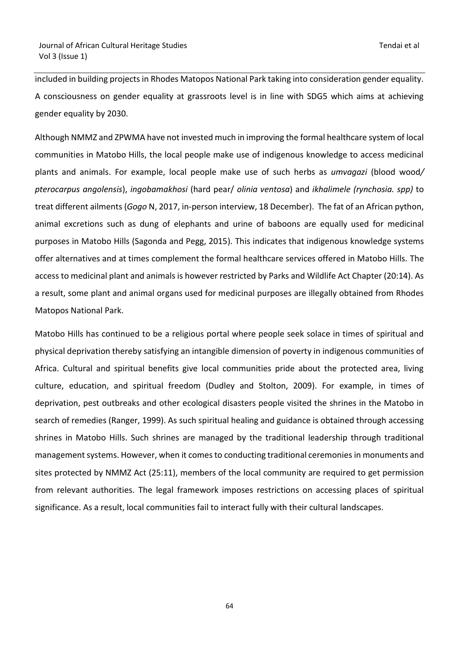included in building projects in Rhodes Matopos National Park taking into consideration gender equality. A consciousness on gender equality at grassroots level is in line with SDG5 which aims at achieving gender equality by 2030.

Although NMMZ and ZPWMA have not invested much in improving the formal healthcare system of local communities in Matobo Hills, the local people make use of indigenous knowledge to access medicinal plants and animals. For example, local people make use of such herbs as *umvagazi* (blood wood*/ pterocarpus angolensis*), *ingobamakhosi* (hard pear/ *olinia ventosa*) and *ikhalimele (rynchosia. spp)* to treat different ailments (*Gogo* N, 2017, in-person interview, 18 December). The fat of an African python, animal excretions such as dung of elephants and urine of baboons are equally used for medicinal purposes in Matobo Hills (Sagonda and Pegg, 2015). This indicates that indigenous knowledge systems offer alternatives and at times complement the formal healthcare services offered in Matobo Hills. The access to medicinal plant and animals is however restricted by Parks and Wildlife Act Chapter (20:14). As a result, some plant and animal organs used for medicinal purposes are illegally obtained from Rhodes Matopos National Park.

Matobo Hills has continued to be a religious portal where people seek solace in times of spiritual and physical deprivation thereby satisfying an intangible dimension of poverty in indigenous communities of Africa. Cultural and spiritual benefits give local communities pride about the protected area, living culture, education, and spiritual freedom (Dudley and Stolton, 2009). For example, in times of deprivation, pest outbreaks and other ecological disasters people visited the shrines in the Matobo in search of remedies (Ranger, 1999). As such spiritual healing and guidance is obtained through accessing shrines in Matobo Hills. Such shrines are managed by the traditional leadership through traditional management systems. However, when it comes to conducting traditional ceremonies in monuments and sites protected by NMMZ Act (25:11), members of the local community are required to get permission from relevant authorities. The legal framework imposes restrictions on accessing places of spiritual significance. As a result, local communities fail to interact fully with their cultural landscapes.

 $\sim$  64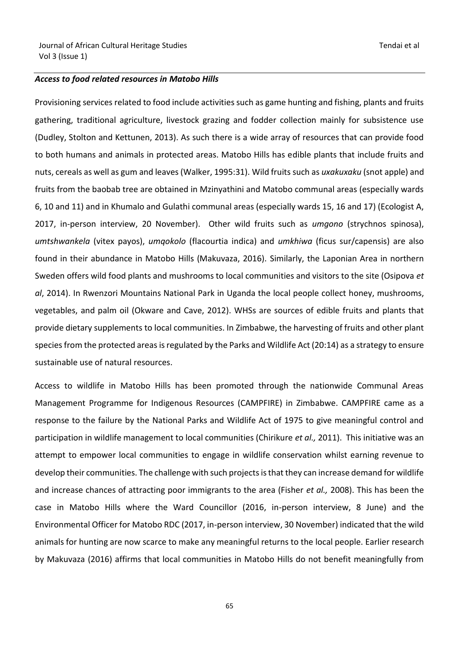#### *Access to food related resources in Matobo Hills*

Provisioning services related to food include activities such as game hunting and fishing, plants and fruits gathering, traditional agriculture, livestock grazing and fodder collection mainly for subsistence use (Dudley, Stolton and Kettunen, 2013). As such there is a wide array of resources that can provide food to both humans and animals in protected areas. Matobo Hills has edible plants that include fruits and nuts, cereals as well as gum and leaves (Walker, 1995:31). Wild fruits such as *uxakuxaku* (snot apple) and fruits from the baobab tree are obtained in Mzinyathini and Matobo communal areas (especially wards 6, 10 and 11) and in Khumalo and Gulathi communal areas (especially wards 15, 16 and 17) (Ecologist A, 2017, in-person interview, 20 November). Other wild fruits such as *umgono* (strychnos spinosa), *umtshwankela* (vitex payos), *umqokolo* (flacourtia indica) and *umkhiwa* (ficus sur/capensis) are also found in their abundance in Matobo Hills (Makuvaza, 2016). Similarly, the Laponian Area in northern Sweden offers wild food plants and mushrooms to local communities and visitors to the site (Osipova *et al*, 2014). In Rwenzori Mountains National Park in Uganda the local people collect honey, mushrooms, vegetables, and palm oil (Okware and Cave, 2012). WHSs are sources of edible fruits and plants that provide dietary supplements to local communities. In Zimbabwe, the harvesting of fruits and other plant species from the protected areas is regulated by the Parks and Wildlife Act (20:14) as a strategy to ensure sustainable use of natural resources.

Access to wildlife in Matobo Hills has been promoted through the nationwide Communal Areas Management Programme for Indigenous Resources (CAMPFIRE) in Zimbabwe. CAMPFIRE came as a response to the failure by the National Parks and Wildlife Act of 1975 to give meaningful control and participation in wildlife management to local communities (Chirikure *et al.,* 2011). This initiative was an attempt to empower local communities to engage in wildlife conservation whilst earning revenue to develop their communities. The challenge with such projects is that they can increase demand for wildlife and increase chances of attracting poor immigrants to the area (Fisher *et al.,* 2008). This has been the case in Matobo Hills where the Ward Councillor (2016, in-person interview, 8 June) and the Environmental Officer for Matobo RDC (2017, in-person interview, 30 November) indicated that the wild animals for hunting are now scarce to make any meaningful returns to the local people. Earlier research by Makuvaza (2016) affirms that local communities in Matobo Hills do not benefit meaningfully from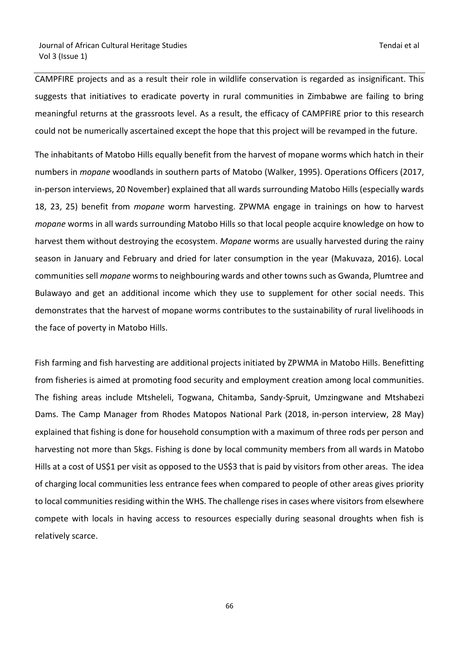CAMPFIRE projects and as a result their role in wildlife conservation is regarded as insignificant. This suggests that initiatives to eradicate poverty in rural communities in Zimbabwe are failing to bring meaningful returns at the grassroots level. As a result, the efficacy of CAMPFIRE prior to this research could not be numerically ascertained except the hope that this project will be revamped in the future.

The inhabitants of Matobo Hills equally benefit from the harvest of mopane worms which hatch in their numbers in *mopane* woodlands in southern parts of Matobo (Walker, 1995). Operations Officers (2017, in-person interviews, 20 November) explained that all wards surrounding Matobo Hills (especially wards 18, 23, 25) benefit from *mopane* worm harvesting. ZPWMA engage in trainings on how to harvest *mopane* worms in all wards surrounding Matobo Hills so that local people acquire knowledge on how to harvest them without destroying the ecosystem. *Mopane* worms are usually harvested during the rainy season in January and February and dried for later consumption in the year (Makuvaza, 2016). Local communities sell *mopane* worms to neighbouring wards and other towns such as Gwanda, Plumtree and Bulawayo and get an additional income which they use to supplement for other social needs. This demonstrates that the harvest of mopane worms contributes to the sustainability of rural livelihoods in the face of poverty in Matobo Hills.

Fish farming and fish harvesting are additional projects initiated by ZPWMA in Matobo Hills. Benefitting from fisheries is aimed at promoting food security and employment creation among local communities. The fishing areas include Mtsheleli, Togwana, Chitamba, Sandy-Spruit, Umzingwane and Mtshabezi Dams. The Camp Manager from Rhodes Matopos National Park (2018, in-person interview, 28 May) explained that fishing is done for household consumption with a maximum of three rods per person and harvesting not more than 5kgs. Fishing is done by local community members from all wards in Matobo Hills at a cost of US\$1 per visit as opposed to the US\$3 that is paid by visitors from other areas. The idea of charging local communities less entrance fees when compared to people of other areas gives priority to local communities residing within the WHS. The challenge rises in cases where visitors from elsewhere compete with locals in having access to resources especially during seasonal droughts when fish is relatively scarce.

e de la construcción de la construcción de la construcción de la construcción de la construcción de la constru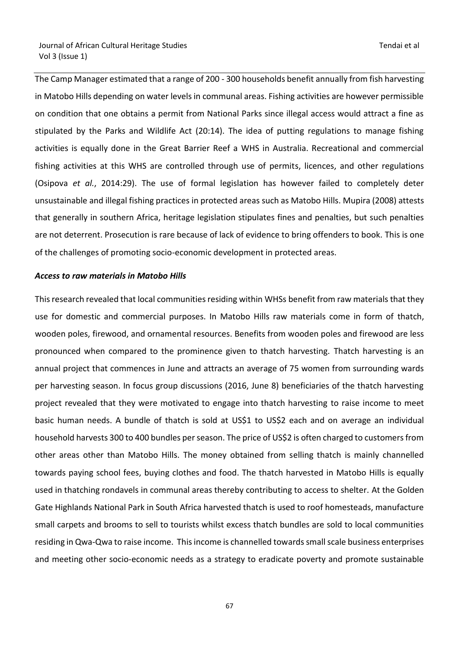The Camp Manager estimated that a range of 200 - 300 households benefit annually from fish harvesting in Matobo Hills depending on water levels in communal areas. Fishing activities are however permissible on condition that one obtains a permit from National Parks since illegal access would attract a fine as stipulated by the Parks and Wildlife Act (20:14). The idea of putting regulations to manage fishing activities is equally done in the Great Barrier Reef a WHS in Australia. Recreational and commercial fishing activities at this WHS are controlled through use of permits, licences, and other regulations (Osipova *et al.*, 2014:29). The use of formal legislation has however failed to completely deter unsustainable and illegal fishing practices in protected areas such as Matobo Hills. Mupira (2008) attests that generally in southern Africa, heritage legislation stipulates fines and penalties, but such penalties are not deterrent. Prosecution is rare because of lack of evidence to bring offenders to book. This is one of the challenges of promoting socio-economic development in protected areas.

#### *Access to raw materials in Matobo Hills*

This research revealed that local communities residing within WHSs benefit from raw materials that they use for domestic and commercial purposes. In Matobo Hills raw materials come in form of thatch, wooden poles, firewood, and ornamental resources. Benefits from wooden poles and firewood are less pronounced when compared to the prominence given to thatch harvesting. Thatch harvesting is an annual project that commences in June and attracts an average of 75 women from surrounding wards per harvesting season. In focus group discussions (2016, June 8) beneficiaries of the thatch harvesting project revealed that they were motivated to engage into thatch harvesting to raise income to meet basic human needs. A bundle of thatch is sold at US\$1 to US\$2 each and on average an individual household harvests 300 to 400 bundles per season. The price of US\$2 is often charged to customers from other areas other than Matobo Hills. The money obtained from selling thatch is mainly channelled towards paying school fees, buying clothes and food. The thatch harvested in Matobo Hills is equally used in thatching rondavels in communal areas thereby contributing to access to shelter. At the Golden Gate Highlands National Park in South Africa harvested thatch is used to roof homesteads, manufacture small carpets and brooms to sell to tourists whilst excess thatch bundles are sold to local communities residing in Qwa-Qwa to raise income. This income is channelled towards small scale business enterprises and meeting other socio-economic needs as a strategy to eradicate poverty and promote sustainable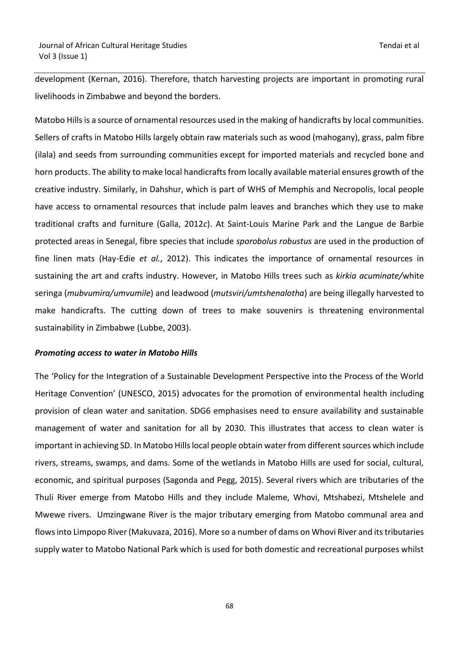development (Kernan, 2016). Therefore, thatch harvesting projects are important in promoting rural livelihoods in Zimbabwe and beyond the borders.

Matobo Hills is a source of ornamental resources used in the making of handicrafts by local communities. Sellers of crafts in Matobo Hills largely obtain raw materials such as wood (mahogany), grass, palm fibre (ilala) and seeds from surrounding communities except for imported materials and recycled bone and horn products. The ability to make local handicrafts from locally available material ensures growth of the creative industry. Similarly, in Dahshur, which is part of WHS of Memphis and Necropolis, local people have access to ornamental resources that include palm leaves and branches which they use to make traditional crafts and furniture (Galla, 2012*c*). At Saint-Louis Marine Park and the Langue de Barbie protected areas in Senegal, fibre species that include *sporobolus robustus* are used in the production of fine linen mats (Hay-Edie *et al.*, 2012). This indicates the importance of ornamental resources in sustaining the art and crafts industry. However, in Matobo Hills trees such as *kirkia acuminate/*white seringa (*mubvumira/umvumile*) and leadwood (*mutsviri/umtshenalotha*) are being illegally harvested to make handicrafts. The cutting down of trees to make souvenirs is threatening environmental sustainability in Zimbabwe (Lubbe, 2003).

#### *Promoting access to water in Matobo Hills*

The 'Policy for the Integration of a Sustainable Development Perspective into the Process of the World Heritage Convention' (UNESCO, 2015) advocates for the promotion of environmental health including provision of clean water and sanitation. SDG6 emphasises need to ensure availability and sustainable management of water and sanitation for all by 2030. This illustrates that access to clean water is important in achieving SD. In Matobo Hills local people obtain water from different sources which include rivers, streams, swamps, and dams. Some of the wetlands in Matobo Hills are used for social, cultural, economic, and spiritual purposes (Sagonda and Pegg, 2015). Several rivers which are tributaries of the Thuli River emerge from Matobo Hills and they include Maleme, Whovi, Mtshabezi, Mtshelele and Mwewe rivers. Umzingwane River is the major tributary emerging from Matobo communal area and flows into Limpopo River (Makuvaza, 2016). More so a number of dams on Whovi River and its tributaries supply water to Matobo National Park which is used for both domestic and recreational purposes whilst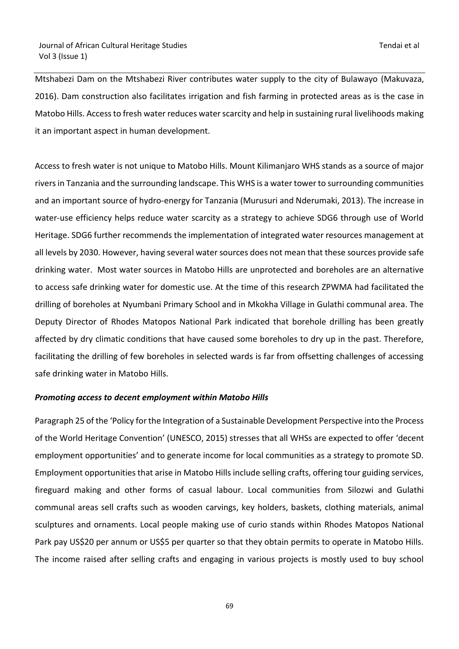Mtshabezi Dam on the Mtshabezi River contributes water supply to the city of Bulawayo (Makuvaza, 2016). Dam construction also facilitates irrigation and fish farming in protected areas as is the case in Matobo Hills. Access to fresh water reduces water scarcity and help in sustaining rural livelihoods making it an important aspect in human development.

Access to fresh water is not unique to Matobo Hills. Mount Kilimanjaro WHS stands as a source of major rivers in Tanzania and the surrounding landscape. This WHS is a water tower to surrounding communities and an important source of hydro-energy for Tanzania (Murusuri and Nderumaki, 2013). The increase in water-use efficiency helps reduce water scarcity as a strategy to achieve SDG6 through use of World Heritage. SDG6 further recommends the implementation of integrated water resources management at all levels by 2030. However, having several water sources does not mean that these sources provide safe drinking water. Most water sources in Matobo Hills are unprotected and boreholes are an alternative to access safe drinking water for domestic use. At the time of this research ZPWMA had facilitated the drilling of boreholes at Nyumbani Primary School and in Mkokha Village in Gulathi communal area. The Deputy Director of Rhodes Matopos National Park indicated that borehole drilling has been greatly affected by dry climatic conditions that have caused some boreholes to dry up in the past. Therefore, facilitating the drilling of few boreholes in selected wards is far from offsetting challenges of accessing safe drinking water in Matobo Hills.

## *Promoting access to decent employment within Matobo Hills*

Paragraph 25 of the 'Policy for the Integration of a Sustainable Development Perspective into the Process of the World Heritage Convention' (UNESCO, 2015) stresses that all WHSs are expected to offer 'decent employment opportunities' and to generate income for local communities as a strategy to promote SD. Employment opportunities that arise in Matobo Hills include selling crafts, offering tour guiding services, fireguard making and other forms of casual labour. Local communities from Silozwi and Gulathi communal areas sell crafts such as wooden carvings, key holders, baskets, clothing materials, animal sculptures and ornaments. Local people making use of curio stands within Rhodes Matopos National Park pay US\$20 per annum or US\$5 per quarter so that they obtain permits to operate in Matobo Hills. The income raised after selling crafts and engaging in various projects is mostly used to buy school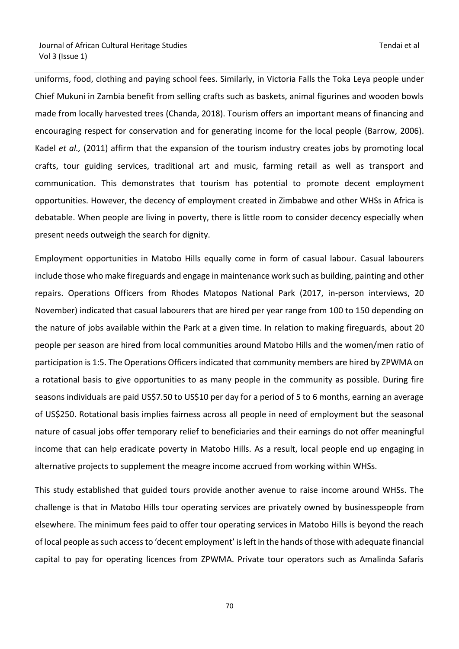uniforms, food, clothing and paying school fees. Similarly, in Victoria Falls the Toka Leya people under Chief Mukuni in Zambia benefit from selling crafts such as baskets, animal figurines and wooden bowls made from locally harvested trees (Chanda, 2018). Tourism offers an important means of financing and encouraging respect for conservation and for generating income for the local people (Barrow, 2006). Kadel *et al.,* (2011) affirm that the expansion of the tourism industry creates jobs by promoting local crafts, tour guiding services, traditional art and music, farming retail as well as transport and communication. This demonstrates that tourism has potential to promote decent employment opportunities. However, the decency of employment created in Zimbabwe and other WHSs in Africa is debatable. When people are living in poverty, there is little room to consider decency especially when present needs outweigh the search for dignity.

Employment opportunities in Matobo Hills equally come in form of casual labour. Casual labourers include those who make fireguards and engage in maintenance work such as building, painting and other repairs. Operations Officers from Rhodes Matopos National Park (2017, in-person interviews, 20 November) indicated that casual labourers that are hired per year range from 100 to 150 depending on the nature of jobs available within the Park at a given time. In relation to making fireguards, about 20 people per season are hired from local communities around Matobo Hills and the women/men ratio of participation is 1:5. The Operations Officers indicated that community members are hired by ZPWMA on a rotational basis to give opportunities to as many people in the community as possible. During fire seasons individuals are paid US\$7.50 to US\$10 per day for a period of 5 to 6 months, earning an average of US\$250. Rotational basis implies fairness across all people in need of employment but the seasonal nature of casual jobs offer temporary relief to beneficiaries and their earnings do not offer meaningful income that can help eradicate poverty in Matobo Hills. As a result, local people end up engaging in alternative projects to supplement the meagre income accrued from working within WHSs.

This study established that guided tours provide another avenue to raise income around WHSs. The challenge is that in Matobo Hills tour operating services are privately owned by businesspeople from elsewhere. The minimum fees paid to offer tour operating services in Matobo Hills is beyond the reach of local people as such access to 'decent employment' is left in the hands of those with adequate financial capital to pay for operating licences from ZPWMA. Private tour operators such as Amalinda Safaris

na a shekarar 170 a tsarta tsarta 170 a tsarta 170 a tsarta 170 a tsarta 170 a tsarta 170 a tsarta 170 a tsar<br>Ta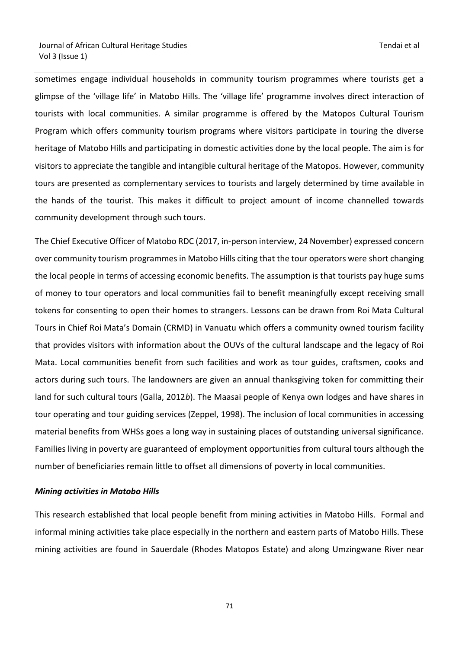sometimes engage individual households in community tourism programmes where tourists get a glimpse of the 'village life' in Matobo Hills. The 'village life' programme involves direct interaction of tourists with local communities. A similar programme is offered by the Matopos Cultural Tourism Program which offers community tourism programs where visitors participate in touring the diverse heritage of Matobo Hills and participating in domestic activities done by the local people. The aim is for visitors to appreciate the tangible and intangible cultural heritage of the Matopos. However, community tours are presented as complementary services to tourists and largely determined by time available in the hands of the tourist. This makes it difficult to project amount of income channelled towards community development through such tours.

The Chief Executive Officer of Matobo RDC (2017, in-person interview, 24 November) expressed concern over community tourism programmes in Matobo Hills citing that the tour operators were short changing the local people in terms of accessing economic benefits. The assumption is that tourists pay huge sums of money to tour operators and local communities fail to benefit meaningfully except receiving small tokens for consenting to open their homes to strangers. Lessons can be drawn from Roi Mata Cultural Tours in Chief Roi Mata's Domain (CRMD) in Vanuatu which offers a community owned tourism facility that provides visitors with information about the OUVs of the cultural landscape and the legacy of Roi Mata. Local communities benefit from such facilities and work as tour guides, craftsmen, cooks and actors during such tours. The landowners are given an annual thanksgiving token for committing their land for such cultural tours (Galla, 2012*b*). The Maasai people of Kenya own lodges and have shares in tour operating and tour guiding services (Zeppel, 1998). The inclusion of local communities in accessing material benefits from WHSs goes a long way in sustaining places of outstanding universal significance. Families living in poverty are guaranteed of employment opportunities from cultural tours although the number of beneficiaries remain little to offset all dimensions of poverty in local communities.

#### *Mining activities in Matobo Hills*

This research established that local people benefit from mining activities in Matobo Hills. Formal and informal mining activities take place especially in the northern and eastern parts of Matobo Hills. These mining activities are found in Sauerdale (Rhodes Matopos Estate) and along Umzingwane River near

71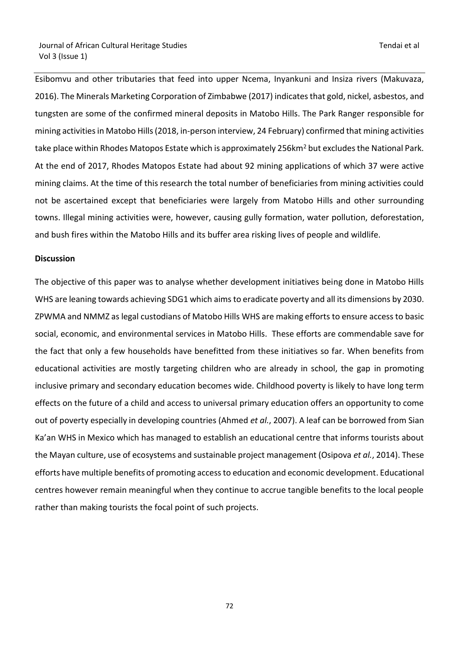Esibomvu and other tributaries that feed into upper Ncema, Inyankuni and Insiza rivers (Makuvaza, 2016). The Minerals Marketing Corporation of Zimbabwe (2017) indicates that gold, nickel, asbestos, and tungsten are some of the confirmed mineral deposits in Matobo Hills. The Park Ranger responsible for mining activities in Matobo Hills (2018, in-person interview, 24 February) confirmed that mining activities take place within Rhodes Matopos Estate which is approximately 256km<sup>2</sup> but excludes the National Park. At the end of 2017, Rhodes Matopos Estate had about 92 mining applications of which 37 were active mining claims. At the time of this research the total number of beneficiaries from mining activities could not be ascertained except that beneficiaries were largely from Matobo Hills and other surrounding towns. Illegal mining activities were, however, causing gully formation, water pollution, deforestation, and bush fires within the Matobo Hills and its buffer area risking lives of people and wildlife.

#### **Discussion**

The objective of this paper was to analyse whether development initiatives being done in Matobo Hills WHS are leaning towards achieving SDG1 which aims to eradicate poverty and all its dimensions by 2030. ZPWMA and NMMZ as legal custodians of Matobo Hills WHS are making efforts to ensure access to basic social, economic, and environmental services in Matobo Hills. These efforts are commendable save for the fact that only a few households have benefitted from these initiatives so far. When benefits from educational activities are mostly targeting children who are already in school, the gap in promoting inclusive primary and secondary education becomes wide. Childhood poverty is likely to have long term effects on the future of a child and access to universal primary education offers an opportunity to come out of poverty especially in developing countries (Ahmed *et al.*, 2007). A leaf can be borrowed from Sian Ka'an WHS in Mexico which has managed to establish an educational centre that informs tourists about the Mayan culture, use of ecosystems and sustainable project management (Osipova *et al.*, 2014). These efforts have multiple benefits of promoting access to education and economic development. Educational centres however remain meaningful when they continue to accrue tangible benefits to the local people rather than making tourists the focal point of such projects.

ли в село в село во село во село во село во село во село во село во село во село во село во село во село во се<br>272 — Велико Село во село во село во село во село во село во село во село во село во село во село во село во с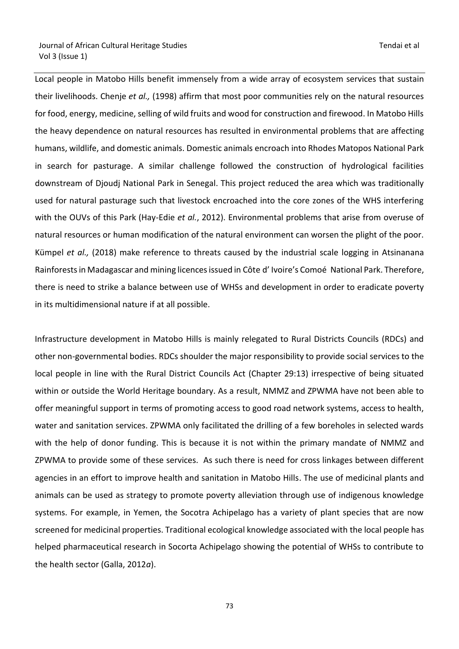Local people in Matobo Hills benefit immensely from a wide array of ecosystem services that sustain their livelihoods. Chenje *et al.,* (1998) affirm that most poor communities rely on the natural resources for food, energy, medicine, selling of wild fruits and wood for construction and firewood. In Matobo Hills the heavy dependence on natural resources has resulted in environmental problems that are affecting humans, wildlife, and domestic animals. Domestic animals encroach into Rhodes Matopos National Park in search for pasturage. A similar challenge followed the construction of hydrological facilities downstream of Djoudj National Park in Senegal. This project reduced the area which was traditionally used for natural pasturage such that livestock encroached into the core zones of the WHS interfering with the OUVs of this Park (Hay-Edie *et al.*, 2012). Environmental problems that arise from overuse of natural resources or human modification of the natural environment can worsen the plight of the poor. Kümpel *et al.,* (2018) make reference to threats caused by the industrial scale logging in Atsinanana Rainforests in Madagascar and mining licences issued in Côte d' Ivoire's Comoé National Park. Therefore, there is need to strike a balance between use of WHSs and development in order to eradicate poverty in its multidimensional nature if at all possible.

Infrastructure development in Matobo Hills is mainly relegated to Rural Districts Councils (RDCs) and other non-governmental bodies. RDCs shoulder the major responsibility to provide social services to the local people in line with the Rural District Councils Act (Chapter 29:13) irrespective of being situated within or outside the World Heritage boundary. As a result, NMMZ and ZPWMA have not been able to offer meaningful support in terms of promoting access to good road network systems, access to health, water and sanitation services. ZPWMA only facilitated the drilling of a few boreholes in selected wards with the help of donor funding. This is because it is not within the primary mandate of NMMZ and ZPWMA to provide some of these services. As such there is need for cross linkages between different agencies in an effort to improve health and sanitation in Matobo Hills. The use of medicinal plants and animals can be used as strategy to promote poverty alleviation through use of indigenous knowledge systems. For example, in Yemen, the Socotra Achipelago has a variety of plant species that are now screened for medicinal properties. Traditional ecological knowledge associated with the local people has helped pharmaceutical research in Socorta Achipelago showing the potential of WHSs to contribute to the health sector (Galla, 2012*a*).

<u>2003 - Angles State Barbara, amin'ny fivondronan-</u>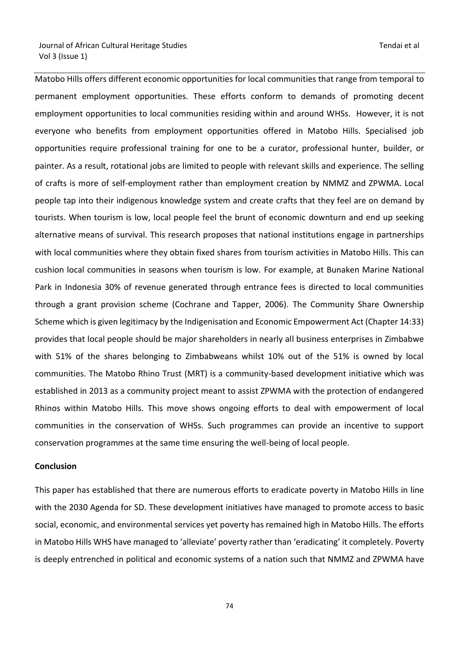Matobo Hills offers different economic opportunities for local communities that range from temporal to permanent employment opportunities. These efforts conform to demands of promoting decent employment opportunities to local communities residing within and around WHSs. However, it is not everyone who benefits from employment opportunities offered in Matobo Hills. Specialised job opportunities require professional training for one to be a curator, professional hunter, builder, or painter. As a result, rotational jobs are limited to people with relevant skills and experience. The selling of crafts is more of self-employment rather than employment creation by NMMZ and ZPWMA. Local people tap into their indigenous knowledge system and create crafts that they feel are on demand by tourists. When tourism is low, local people feel the brunt of economic downturn and end up seeking alternative means of survival. This research proposes that national institutions engage in partnerships with local communities where they obtain fixed shares from tourism activities in Matobo Hills. This can cushion local communities in seasons when tourism is low. For example, at Bunaken Marine National Park in Indonesia 30% of revenue generated through entrance fees is directed to local communities through a grant provision scheme (Cochrane and Tapper, 2006). The Community Share Ownership Scheme which is given legitimacy by the Indigenisation and Economic Empowerment Act (Chapter 14:33) provides that local people should be major shareholders in nearly all business enterprises in Zimbabwe with 51% of the shares belonging to Zimbabweans whilst 10% out of the 51% is owned by local communities. The Matobo Rhino Trust (MRT) is a community-based development initiative which was established in 2013 as a community project meant to assist ZPWMA with the protection of endangered Rhinos within Matobo Hills. This move shows ongoing efforts to deal with empowerment of local communities in the conservation of WHSs. Such programmes can provide an incentive to support conservation programmes at the same time ensuring the well-being of local people.

#### **Conclusion**

This paper has established that there are numerous efforts to eradicate poverty in Matobo Hills in line with the 2030 Agenda for SD. These development initiatives have managed to promote access to basic social, economic, and environmental services yet poverty has remained high in Matobo Hills. The efforts in Matobo Hills WHS have managed to 'alleviate' poverty rather than 'eradicating' it completely. Poverty is deeply entrenched in political and economic systems of a nation such that NMMZ and ZPWMA have

ли в село в село во село во село во село во село во село во село во село во село во село во село во село во се<br>24 февраля – Село во село во село во село во село во село во село во село во село во село во село во село во с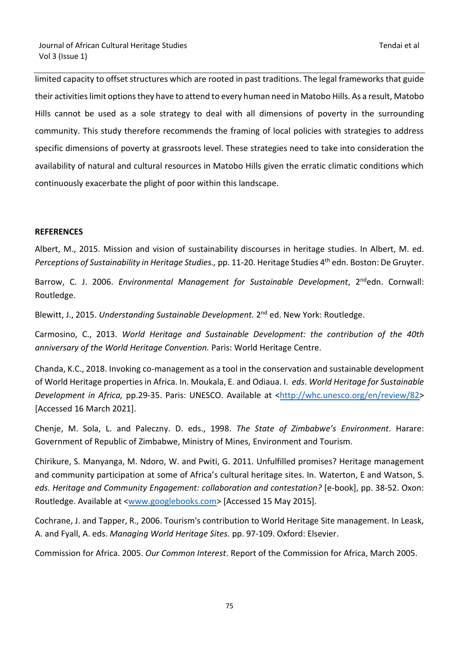limited capacity to offset structures which are rooted in past traditions. The legal frameworks that guide their activities limit options they have to attend to every human need in Matobo Hills. As a result, Matobo Hills cannot be used as a sole strategy to deal with all dimensions of poverty in the surrounding community. This study therefore recommends the framing of local policies with strategies to address specific dimensions of poverty at grassroots level. These strategies need to take into consideration the availability of natural and cultural resources in Matobo Hills given the erratic climatic conditions which continuously exacerbate the plight of poor within this landscape.

## **REFERENCES**

Albert, M., 2015. Mission and vision of sustainability discourses in heritage studies. In Albert, M. ed. *Perceptions of Sustainability in Heritage Studies.,* pp. 11-20. Heritage Studies 4th edn. Boston: De Gruyter.

Barrow, C. J. 2006. Environmental Management for Sustainable Development, 2<sup>nd</sup>edn. Cornwall: Routledge.

Blewitt, J., 2015. Understanding Sustainable Development. 2<sup>nd</sup> ed. New York: Routledge.

Carmosino, C., 2013. *World Heritage and Sustainable Development: the contribution of the 40th anniversary of the World Heritage Convention.* Paris: World Heritage Centre.

Chanda, K.C., 2018. Invoking co-management as a tool in the conservation and sustainable development of World Heritage properties in Africa. In. Moukala, E. and Odiaua. I. *eds*. *World Heritage for S*u*stainable Development in Africa,* pp.29-35. Paris: UNESCO. Available at <http://whc.unesco.org/en/review/82> [Accessed 16 March 2021].

Chenje, M. Sola, L. and Paleczny. D. eds., 1998. *The State of Zimbabwe's Environment*. Harare: Government of Republic of Zimbabwe, Ministry of Mines, Environment and Tourism.

Chirikure, S*.* Manyanga, M. Ndoro, W. and Pwiti, G. 2011. Unfulfilled promises? Heritage management and community participation at some of Africa's cultural heritage sites. In. Waterton, E and Watson, S. *eds*. *Heritage and Community Engagement: collaboration and contestation?* [e-book], pp. 38-52. Oxon: Routledge. Available at [<www.googlebooks.com>](http://www.googlebooks.com/) [Accessed 15 May 2015].

Cochrane, J. and Tapper, R., 2006. Tourism's contribution to World Heritage Site management. In Leask, A. and Fyall, A. eds. *Managing World Heritage Sites.* pp. 97-109. Oxford: Elsevier.

Commission for Africa. 2005. *Our Common Interest*. Report of the Commission for Africa, March 2005.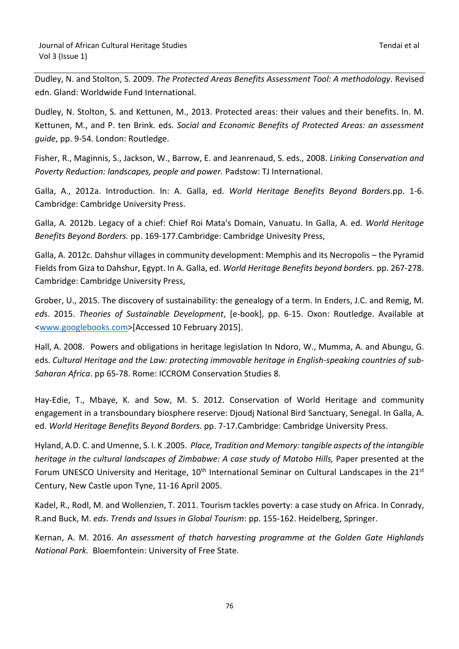Dudley, N. and Stolton, S. 2009. *The Protected Areas Benefits Assessment Tool: A methodology.* Revised edn. Gland: Worldwide Fund International.

Dudley, N. Stolton, S. and Kettunen, M., 2013. Protected areas: their values and their benefits. In. M. Kettunen, M., and P. ten Brink. eds. *Social and Economic Benefits of Protected Areas: an assessment guide*, pp. 9-54*.* London: Routledge.

Fisher, R., Maginnis, S., Jackson, W., Barrow, E. and Jeanrenaud, S. eds*.,* 2008. *Linking Conservation and Poverty Reduction: landscapes, people and power.* Padstow: TJ International.

Galla, A., 2012a. Introduction. In: A. Galla, ed. *World Heritage Benefits Beyond Borders.*pp. 1-6. Cambridge: Cambridge University Press.

Galla, A. 2012b. Legacy of a chief: Chief Roi Mata's Domain, Vanuatu. In Galla, A. ed*. World Heritage Benefits Beyond Borders.* pp. 169-177.Cambridge: Cambridge Univesity Press,

Galla, A. 2012c. Dahshur villages in community development: Memphis and its Necropolis – the Pyramid Fields from Giza to Dahshur, Egypt. In A. Galla, ed. *World Heritage Benefits beyond borders.* pp. 267-278. Cambridge: Cambridge University Press,

Grober, U., 2015. The discovery of sustainability: the genealogy of a term. In Enders, J.C. and Remig, M. *ed*s. 2015. *Theories of Sustainable Development*, [e-book], pp. 6-15. Oxon: Routledge. Available at [<www.googlebooks.com>](http://www.googlebooks.com/)[Accessed 10 February 2015].

Hall, A. 2008. Powers and obligations in heritage legislation In Ndoro, W., Mumma, A. and Abungu, G. eds. *Cultural Heritage and the Law: protecting immovable heritage in English-speaking countries of sub-Saharan Africa*. pp 65-78. Rome: ICCROM Conservation Studies 8.

Hay-Edie, T., Mbaye, K. and Sow, M. S. 2012. Conservation of World Heritage and community engagement in a transboundary biosphere reserve: Djoudj National Bird Sanctuary, Senegal. In Galla, A. ed. *World Heritage Benefits Beyond Borders.* pp. 7-17.Cambridge: Cambridge University Press.

Hyland, A.D. C. and Umenne, S. I. K .2005. *Place, Tradition and Memory: tangible aspects of the intangible heritage in the cultural landscapes of Zimbabwe: A case study of Matobo Hills,* Paper presented at the Forum UNESCO University and Heritage, 10<sup>th</sup> International Seminar on Cultural Landscapes in the 21<sup>st</sup> Century, New Castle upon Tyne, 11-16 April 2005.

Kadel, R., Rodl, M. and Wollenzien, T. 2011. Tourism tackles poverty: a case study on Africa. In Conrady, R.and Buck, M. *eds*. *Trends and Issues in Global Tourism*: pp. 155-162. Heidelberg, Springer.

Kernan, A. M. 2016. *An assessment of thatch harvesting programme at the Golden Gate Highlands National Park.* Bloemfontein: University of Free State.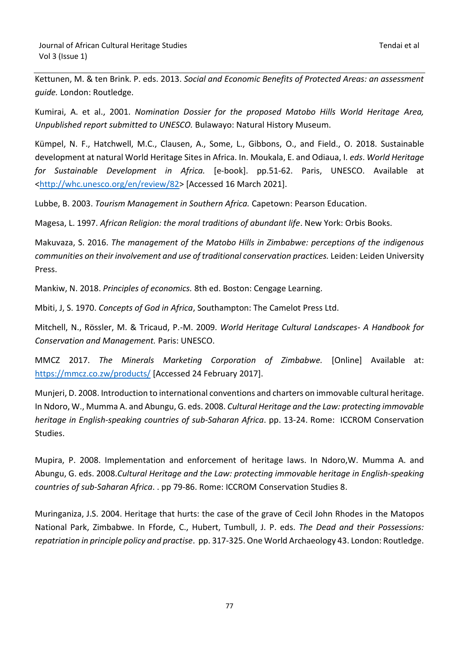Kettunen, M. & ten Brink. P. eds. 2013. *Social and Economic Benefits of Protected Areas: an assessment guide.* London: Routledge.

Kumirai, A. et al., 2001. *Nomination Dossier for the proposed Matobo Hills World Heritage Area, Unpublished report submitted to UNESCO.* Bulawayo: Natural History Museum.

Kümpel, N. F., Hatchwell, M.C., Clausen, A., Some, L., Gibbons, O., and Field., O. 2018. Sustainable development at natural World Heritage Sites in Africa. In. Moukala, E. and Odiaua, I. *eds*. *World Heritage for Sustainable Development in Africa.* [e-book]. pp.51-62. Paris, UNESCO. Available at <http://whc.unesco.org/en/review/82> [Accessed 16 March 2021].

Lubbe, B. 2003. *Tourism Management in Southern Africa.* Capetown: Pearson Education.

Magesa, L. 1997. *African Religion: the moral traditions of abundant life*. New York: Orbis Books.

Makuvaza, S. 2016. *The management of the Matobo Hills in Zimbabwe: perceptions of the indigenous communities on their involvement and use of traditional conservation practices.* Leiden: Leiden University Press.

Mankiw, N. 2018. *Principles of economics.* 8th ed. Boston: Cengage Learning.

Mbiti, J, S. 1970. *Concepts of God in Africa*, Southampton: The Camelot Press Ltd.

Mitchell, N., Rössler, M. & Tricaud, P.-M. 2009. *World Heritage Cultural Landscapes- A Handbook for Conservation and Management.* Paris: UNESCO.

MMCZ 2017. *The Minerals Marketing Corporation of Zimbabwe.* [Online] Available at: <https://mmcz.co.zw/products/> [Accessed 24 February 2017].

Munjeri, D. 2008. Introduction to international conventions and charters on immovable cultural heritage. In Ndoro, W., Mumma A. and Abungu, G. eds. 2008. *Cultural Heritage and the Law: protecting immovable heritage in English-speaking countries of sub-Saharan Africa*. pp. 13-24. Rome: ICCROM Conservation Studies.

Mupira, P. 2008. Implementation and enforcement of heritage laws. In Ndoro,W. Mumma A. and Abungu, G. eds. 2008.*Cultural Heritage and the Law: protecting immovable heritage in English-speaking countries of sub-Saharan Africa*. . pp 79-86. Rome: ICCROM Conservation Studies 8.

Muringaniza, J.S. 2004. Heritage that hurts: the case of the grave of Cecil John Rhodes in the Matopos National Park, Zimbabwe. In Fforde, C., Hubert, Tumbull, J. P. eds. *The Dead and their Possessions: repatriation in principle policy and practise*. pp. 317-325. One World Archaeology 43. London: Routledge.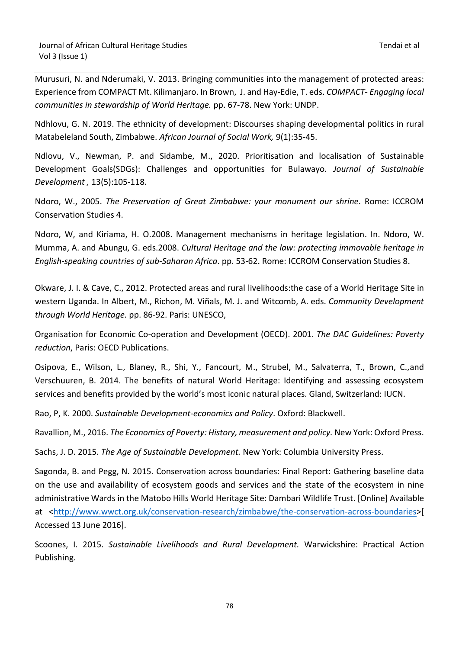Murusuri, N. and Nderumaki, V. 2013. Bringing communities into the management of protected areas: Experience from COMPACT Mt. Kilimanjaro. In Brown, J. and Hay-Edie, T. eds. *COMPACT- Engaging local communities in stewardship of World Heritage.* pp. 67-78. New York: UNDP.

Ndhlovu, G. N. 2019. The ethnicity of development: Discourses shaping developmental politics in rural Matabeleland South, Zimbabwe. *African Journal of Social Work,* 9(1):35-45.

Ndlovu, V., Newman, P. and Sidambe, M., 2020. Prioritisation and localisation of Sustainable Development Goals(SDGs): Challenges and opportunities for Bulawayo. *Journal of Sustainable Development ,* 13(5):105-118.

Ndoro, W., 2005. *The Preservation of Great Zimbabwe: your monument our shrine.* Rome: ICCROM Conservation Studies 4.

Ndoro, W, and Kiriama, H. O.2008. Management mechanisms in heritage legislation. In. Ndoro, W. Mumma, A. and Abungu, G. eds.2008. *Cultural Heritage and the law: protecting immovable heritage in English-speaking countries of sub-Saharan Africa*. pp. 53-62. Rome: ICCROM Conservation Studies 8.

Okware, J. I. & Cave, C., 2012. Protected areas and rural livelihoods:the case of a World Heritage Site in western Uganda. In Albert, M., Richon, M. Viñals, M. J. and Witcomb, A. eds. *Community Development through World Heritage.* pp. 86-92. Paris: UNESCO,

Organisation for Economic Co-operation and Development (OECD). 2001. *The DAC Guidelines: Poverty reduction*, Paris: OECD Publications.

Osipova, E., Wilson, L., Blaney, R., Shi, Y., Fancourt, M., Strubel, M., Salvaterra, T., Brown, C.,and Verschuuren, B. 2014. The benefits of natural World Heritage: Identifying and assessing ecosystem services and benefits provided by the world's most iconic natural places. Gland, Switzerland: IUCN.

Rao, P, K. 2000. *Sustainable Development-economics and Policy*. Oxford: Blackwell.

Ravallion, M., 2016. *The Economics of Poverty: History, measurement and policy.* New York: Oxford Press.

Sachs, J. D. 2015. *The Age of Sustainable Development.* New York: Columbia University Press.

Sagonda, B. and Pegg, N. 2015. Conservation across boundaries: Final Report: Gathering baseline data on the use and availability of ecosystem goods and services and the state of the ecosystem in nine administrative Wards in the Matobo Hills World Heritage Site: Dambari Wildlife Trust. [Online] Available at [<http://www.wwct.org.uk/conservation-research/zimbabwe/the-conservation-across-boundaries>](http://www.wwct.org.uk/conservation-research/zimbabwe/the-conservation-across-boundaries)[ Accessed 13 June 2016].

Scoones, I. 2015. *Sustainable Livelihoods and Rural Development.* Warwickshire: Practical Action Publishing.